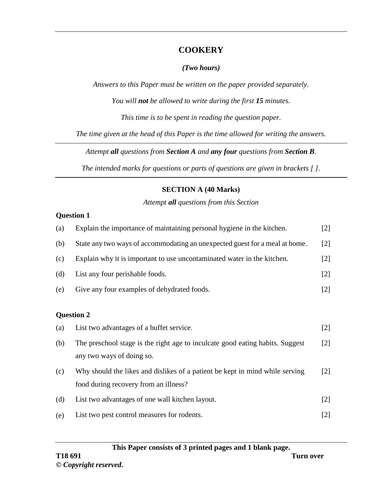### **COOKERY**

#### *(Two hours)*

*Answers to this Paper must be written on the paper provided separately.*

*You will not be allowed to write during the first 15 minutes.*

*This time is to be spent in reading the question paper.*

*The time given at the head of this Paper is the time allowed for writing the answers.*

*Attempt all questions from Section A and any four questions from Section B.*

*The intended marks for questions or parts of questions are given in brackets [ ].*

## **SECTION A (40 Marks)**

*Attempt all questions from this Section*

#### **Question 1**

| (a) | Explain the importance of maintaining personal hygiene in the kitchen.        | $[2]$ |
|-----|-------------------------------------------------------------------------------|-------|
| (b) | State any two ways of accommodating an unexpected guest for a meal at home.   | $[2]$ |
| (c) | Explain why it is important to use uncontaminated water in the kitchen.       | $[2]$ |
| (d) | List any four perishable foods.                                               | $[2]$ |
| (e) | Give any four examples of dehydrated foods.                                   | $[2]$ |
|     |                                                                               |       |
|     | <b>Question 2</b>                                                             |       |
| (a) | List two advantages of a buffet service.                                      | $[2]$ |
| (b) | The preschool stage is the right age to inculcate good eating habits. Suggest | $[2]$ |
|     | any two ways of doing so.                                                     |       |
| (c) | Why should the likes and dislikes of a patient be kept in mind while serving  | $[2]$ |
|     | food during recovery from an illness?                                         |       |
| (d) | List two advantages of one wall kitchen layout.                               | $[2]$ |
| (e) | List two pest control measures for rodents.                                   | $[2]$ |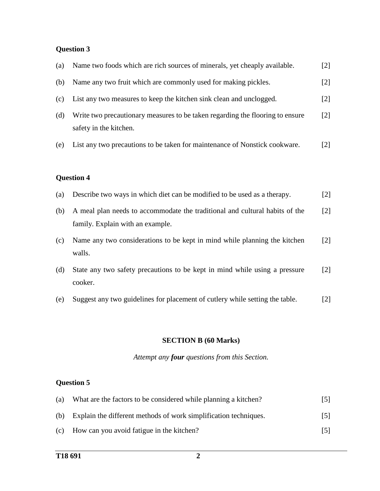## **Question 3**

| (a) | Name two foods which are rich sources of minerals, yet cheaply available.                                       | $[2]$ |
|-----|-----------------------------------------------------------------------------------------------------------------|-------|
| (b) | Name any two fruit which are commonly used for making pickles.                                                  | $[2]$ |
| (c) | List any two measures to keep the kitchen sink clean and unclogged.                                             | $[2]$ |
| (d) | Write two precautionary measures to be taken regarding the flooring to ensure<br>safety in the kitchen.         | $[2]$ |
| (e) | List any two precautions to be taken for maintenance of Nonstick cookware.                                      | $[2]$ |
|     | <b>Question 4</b>                                                                                               |       |
| (a) | Describe two ways in which diet can be modified to be used as a therapy.                                        | $[2]$ |
| (b) | A meal plan needs to accommodate the traditional and cultural habits of the<br>family. Explain with an example. | $[2]$ |
| (c) | Name any two considerations to be kept in mind while planning the kitchen<br>walls.                             | $[2]$ |
| (d) | State any two safety precautions to be kept in mind while using a pressure<br>cooker.                           | $[2]$ |

(e) Suggest any two guidelines for placement of cutlery while setting the table. [2]

#### **SECTION B (60 Marks)**

*Attempt any four questions from this Section.*

## **Question 5**

| (a) | What are the factors to be considered while planning a kitchen?  | 5    |
|-----|------------------------------------------------------------------|------|
| (b) | Explain the different methods of work simplification techniques. | 5    |
|     | (c) How can you avoid fatigue in the kitchen?                    | 15 I |